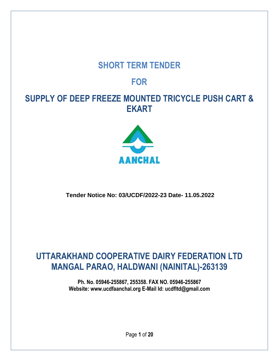# **SHORT TERM TENDER**

# **FOR**

# **SUPPLY OF DEEP FREEZE MOUNTED TRICYCLE PUSH CART & EKART**



## **Tender Notice No: 03/UCDF/2022-23 Date- 11.05.2022**

# **UTTARAKHAND COOPERATIVE DAIRY FEDERATION LTD MANGAL PARAO, HALDWANI (NAINITAL)-263139**

**Ph. No. 05946-255867, 255358. FAX NO. 05946-255867 Website: [www.ucdfaanchal.org](http://www.ucdfaanchal.org/) E-Mail Id: [ucdfltd@gmail.com](mailto:ucdfltd@gmail.com)**

Page **1** of **20**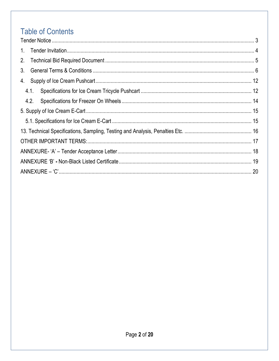# **Table of Contents**

| $1_{\cdot}$ |  |  |  |  |
|-------------|--|--|--|--|
| 2.          |  |  |  |  |
| $3_{-}$     |  |  |  |  |
| 4.          |  |  |  |  |
| 4.1.        |  |  |  |  |
| 4.2.        |  |  |  |  |
|             |  |  |  |  |
|             |  |  |  |  |
|             |  |  |  |  |
|             |  |  |  |  |
|             |  |  |  |  |
|             |  |  |  |  |
|             |  |  |  |  |
|             |  |  |  |  |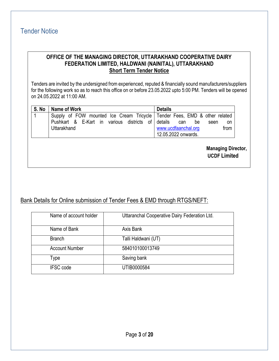## <span id="page-2-0"></span>Tender Notice

#### **OFFICE OF THE MANAGING DIRECTOR, UTTARAKHAND COOPERATIVE DAIRY FEDERATION LIMITED, HALDWANI (NAINITAL), UTTARAKHAND Short Term Tender Notice**

Tenders are invited by the undersigned from experienced, reputed & financially sound manufacturers/suppliers for the following work so as to reach this office on or before 23.05.2022 upto 5:00 PM. Tenders will be opened on 24.05.2022 at 11:00 AM.

| S. No | Name of Work                                                                | <b>Details</b>              |
|-------|-----------------------------------------------------------------------------|-----------------------------|
|       | Supply of FOW mounted Ice Cream Tricycle   Tender Fees, EMD & other related |                             |
|       | Pushkart & E-Kart in various districts of details                           | can<br>be<br>seen<br>on     |
|       | Uttarakhand                                                                 | from<br>www.ucdfaanchal.org |
|       |                                                                             | 12.05.2022 onwards.         |

**Managing Director, UCDF Limited**

### Bank Details for Online submission of Tender Fees & EMD through RTGS/NEFT:

| Name of account holder | Uttaranchal Cooperative Dairy Federation Ltd. |
|------------------------|-----------------------------------------------|
| Name of Bank           | Axis Bank                                     |
| <b>Branch</b>          | Talli Haldwani (UT)                           |
| <b>Account Number</b>  | 584010100013749                               |
| Type                   | Saving bank                                   |
| <b>IFSC</b> code       | UTIB0000584                                   |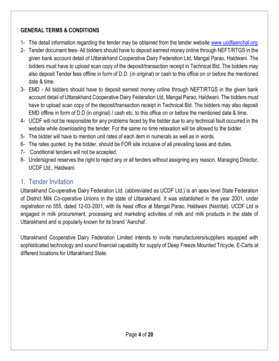## **GENERAL TERMS & CONDITIONS**

- 1- The detail information regarding the tender may be obtained from the tender website [www.ucdfaanchal.org](http://www.ucdfaanchal.org/)
- 2- Tender document fees- All bidders should have to deposit earnest money online through NEFT/RTGS in the given bank account detail of Uttarakhand Cooperative Dairy Federation Ltd, Mangal Parao, Haldwani. The bidders must have to upload scan copy of the deposit/transaction receipt in Technical Bid. The bidders may also deposit Tender fess offline in form of D.D. (in original) or cash to this office on or before the mentioned date & time.
- 3- EMD All bidders should have to deposit earnest money online through NEFT/RTGS in the given bank account detail of Uttarakhand Cooperative Dairy Federation Ltd, Mangal Parao, Haldwani. The bidders must have to upload scan copy of the deposit/transaction receipt in Technical Bid. The bidders may also deposit EMD offline in form of D.D (in original) / cash etc. to this office on or before the mentioned date & time.
- 4- UCDF will not be responsible for any problems faced by the bidder due to any technical fault occurred in the website while downloading the tender. For the same no time relaxation will be allowed to the bidder.
- 5- The bidder will have to mention unit rates of each item in numerals as well as in words.
- 6- The rates quoted, by the bidder, should be FOR site inclusive of all prevailing taxes and duties.
- 7- Conditional tenders will not be accepted.
- 8- Undersigned reserves the right to reject any or all tenders without assigning any reason. Managing Director, UCDF Ltd., Haldwani.

# <span id="page-3-0"></span>1. Tender Invitation

Uttarakhand Co-operative Dairy Federation Ltd. (abbreviated as UCDF Ltd.) is an apex level State Federation of District Milk Co-operative Unions in the state of Uttarakhand. It was established in the year 2001, under registration no 555, dated 12-03-2001, with its head office at Mangal Parao, Haldwani (Nainital). UCDF Ltd is engaged in milk procurement, processing and marketing activities of milk and milk products in the state of Uttarakhand and is popularly known for its brand 'Aanchal'.

Uttarakhand Cooperative Dairy Federation Limited intends to invite manufacturers/suppliers equipped with sophisticated technology and sound financial capability for supply of Deep Freeze Mounted Tricycle, E-Carts at different locations for Uttarakhand State.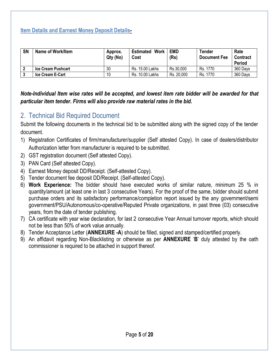### **Item Details and Earnest Money Deposit Details-**

| <b>SN</b> | <b>Name of Work/Item</b>  | Approx.<br>Qty (No) | Work<br>Estimated<br>Cost | <b>EMD</b><br>(Rs) | Tender<br><b>Document Fee</b> | Rate<br>Contract<br><b>Period</b> |
|-----------|---------------------------|---------------------|---------------------------|--------------------|-------------------------------|-----------------------------------|
|           | <b>Ice Cream Pushcart</b> | 30                  | Rs. 15.00 Lakhs           | Rs.30,000          | Rs. 1770                      | 360 Days                          |
|           | <b>Ice Cream E-Cart</b>   | 10                  | Rs. 10.00 Lakhs           | Rs. 20,000         | Rs. 1770                      | 360 Days                          |

*Note-Individual Item wise rates will be accepted, and lowest item rate bidder will be awarded for that particular item tender. Firms will also provide raw material rates in the bid.*

## <span id="page-4-0"></span>2. Technical Bid Required Document

Submit the following documents in the technical bid to be submitted along with the signed copy of the tender document.

- 1) Registration Certificates of firm/manufacturer/supplier (Self attested Copy). In case of dealers/distributor Authorization letter from manufacturer is required to be submitted.
- 2) GST registration document (Self attested Copy).
- 3) PAN Card (Self attested Copy).
- 4) Earnest Money deposit DD/Receipt. (Self-attested Copy).
- 5) Tender document fee deposit DD/Receipt. (Self-attested Copy).
- 6) **Work Experience:** The bidder should have executed works of similar nature, minimum 25 % in quantity/amount (at least one in last 3 consecutive Years). For the proof of the same, bidder should submit purchase orders and its satisfactory performance/completion report issued by the any government/semi government/PSU/Autonomous/co-operative/Reputed Private organizations, in past three (03) consecutive years, from the date of tender publishing.
- 7) CA certificate with year wise declaration, for last 2 consecutive Year Annual turnover reports, which should not be less than 50% of work value annually.
- 8) Tender Acceptance Letter (**ANNEXURE -A**) should be filled, signed and stamped/certified properly.
- 9) An affidavit regarding Non-Blacklisting or otherwise as per **ANNEXURE** '**B**' duly attested by the oath commissioner is required to be attached in support thereof.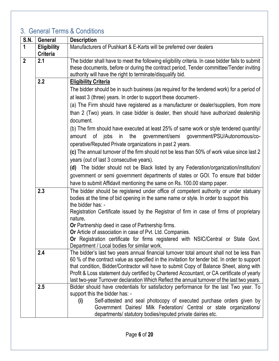# <span id="page-5-0"></span>3. General Terms & Conditions

| <b>S.N.</b>                                                                                                                                                                                                                                      | <b>General</b>     | <b>Description</b>                                                                               |
|--------------------------------------------------------------------------------------------------------------------------------------------------------------------------------------------------------------------------------------------------|--------------------|--------------------------------------------------------------------------------------------------|
| $\mathbf{1}$                                                                                                                                                                                                                                     | <b>Eligibility</b> | Manufacturers of Pushkart & E-Karts will be preferred over dealers                               |
|                                                                                                                                                                                                                                                  | <b>Criteria</b>    |                                                                                                  |
| $\boldsymbol{2}$                                                                                                                                                                                                                                 | 2.1                | The bidder shall have to meet the following eligibility criteria. In case bidder fails to submit |
|                                                                                                                                                                                                                                                  |                    | these documents, before or during the contract period, Tender committee/Tender inviting          |
|                                                                                                                                                                                                                                                  |                    | authority will have the right to terminate/disqualify bid.                                       |
|                                                                                                                                                                                                                                                  | 2.2                | <b>Eligibility Criteria</b>                                                                      |
|                                                                                                                                                                                                                                                  |                    | The bidder should be in such business (as required for the tendered work) for a period of        |
|                                                                                                                                                                                                                                                  |                    | at least 3 (three) years. In order to support these document-.                                   |
|                                                                                                                                                                                                                                                  |                    | (a) The Firm should have registered as a manufacturer or dealer/suppliers, from more             |
|                                                                                                                                                                                                                                                  |                    | than 2 (Two) years. In case bidder is dealer, then should have authorized dealership             |
|                                                                                                                                                                                                                                                  |                    | document.                                                                                        |
|                                                                                                                                                                                                                                                  |                    | (b) The firm should have executed at least 25% of same work or style tendered quantity/          |
|                                                                                                                                                                                                                                                  |                    | government/semi government/PSU/Autonomous/co-<br>the<br>of jobs<br>in<br>amount                  |
|                                                                                                                                                                                                                                                  |                    | operative/Reputed Private organizations in past 2 years.                                         |
|                                                                                                                                                                                                                                                  |                    | (c) The annual turnover of the firm should not be less than 50% of work value since last 2       |
|                                                                                                                                                                                                                                                  |                    | years (out of last 3 consecutive years).                                                         |
|                                                                                                                                                                                                                                                  |                    | (d) The bidder should not be Black listed by any Federation/organization/institution/            |
|                                                                                                                                                                                                                                                  |                    | government or semi government departments of states or GOI. To ensure that bidder                |
|                                                                                                                                                                                                                                                  |                    | have to submit Affidavit mentioning the same on Rs. 100.00 stamp paper.                          |
| 2.3<br>the bidder has: -<br>nature.<br>Or Partnership deed in case of Partnership firms.                                                                                                                                                         |                    | The bidder should be registered under office of competent authority or under statuary            |
|                                                                                                                                                                                                                                                  |                    | bodies at the time of bid opening in the same name or style. In order to support this            |
|                                                                                                                                                                                                                                                  |                    |                                                                                                  |
|                                                                                                                                                                                                                                                  |                    | Registration Certificate issued by the Registrar of firm in case of firms of proprietary         |
|                                                                                                                                                                                                                                                  |                    |                                                                                                  |
|                                                                                                                                                                                                                                                  |                    |                                                                                                  |
|                                                                                                                                                                                                                                                  |                    | Or Article of association in case of Pvt. Ltd. Companies.                                        |
| Department / Local bodies for similar work.<br>The bidder's last two years annual financial turnover total amount shall not be less than<br>2.4<br>60 % of the contract value as specified in the invitation for tender bid. In order to support |                    | Or Registration certificate for firms registered with NSIC/Central or State Govt.                |
|                                                                                                                                                                                                                                                  |                    |                                                                                                  |
|                                                                                                                                                                                                                                                  |                    |                                                                                                  |
|                                                                                                                                                                                                                                                  |                    | that condition, Bidder/Contractor will have to submit Copy of Balance Sheet, along with          |
|                                                                                                                                                                                                                                                  |                    | Profit & Loss statement duly certified by Chartered Accountant, or CA certificate of yearly      |
|                                                                                                                                                                                                                                                  |                    | last two-year Turnover declaration Which Reflect the annual turnover of the last two years.      |
|                                                                                                                                                                                                                                                  | 2.5                | Bidder should have credentials for satisfactory performance for the last Two year. To            |
|                                                                                                                                                                                                                                                  |                    | support this the bidder has: -                                                                   |
|                                                                                                                                                                                                                                                  |                    | Self-attested and seal photocopy of executed purchase orders given by<br>(i)                     |
|                                                                                                                                                                                                                                                  |                    | Government Dairies/ Milk Federation/ Central or state organizations/                             |
|                                                                                                                                                                                                                                                  |                    | departments/ statutory bodies/reputed private dairies etc.                                       |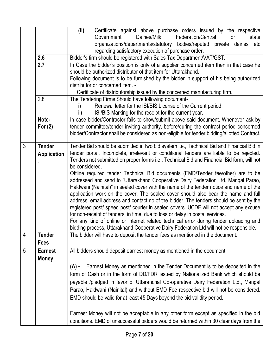|                |                                                                                                                                                                                                                                                                                                                                                                              | (ii)<br>Certificate against above purchase orders issued by the respective<br>Government<br>Dairies/Milk<br>Federation/Central<br><b>or</b><br>state<br>organizations/departments/statutory bodies/reputed private dairies etc<br>regarding satisfactory execution of purchase order.                                                                                                                                                                                                                                                                                                                                                                                                                                                                                                                                                                                                                                                                                                                                                                                                                                    |  |  |  |  |
|----------------|------------------------------------------------------------------------------------------------------------------------------------------------------------------------------------------------------------------------------------------------------------------------------------------------------------------------------------------------------------------------------|--------------------------------------------------------------------------------------------------------------------------------------------------------------------------------------------------------------------------------------------------------------------------------------------------------------------------------------------------------------------------------------------------------------------------------------------------------------------------------------------------------------------------------------------------------------------------------------------------------------------------------------------------------------------------------------------------------------------------------------------------------------------------------------------------------------------------------------------------------------------------------------------------------------------------------------------------------------------------------------------------------------------------------------------------------------------------------------------------------------------------|--|--|--|--|
|                | 2.6                                                                                                                                                                                                                                                                                                                                                                          | Bidder's firm should be registered with Sales Tax Department/VAT/GST.                                                                                                                                                                                                                                                                                                                                                                                                                                                                                                                                                                                                                                                                                                                                                                                                                                                                                                                                                                                                                                                    |  |  |  |  |
|                | 2.7<br>In Case the bidder's position is only of a supplier concerned item then in that case he<br>should be authorized distributor of that item for Uttarakhand.<br>Following document is to be furnished by the bidder in support of his being authorized<br>distributor or concerned item. -<br>Certificate of distributorship issued by the concerned manufacturing firm. |                                                                                                                                                                                                                                                                                                                                                                                                                                                                                                                                                                                                                                                                                                                                                                                                                                                                                                                                                                                                                                                                                                                          |  |  |  |  |
|                | 2.8                                                                                                                                                                                                                                                                                                                                                                          | The Tendering Firms Should have following document-<br>Renewal letter for the ISI/BIS License of the Current period.<br>ISI/BIS Marking for the receipt for the current year.                                                                                                                                                                                                                                                                                                                                                                                                                                                                                                                                                                                                                                                                                                                                                                                                                                                                                                                                            |  |  |  |  |
|                | Note-<br>For $(2)$                                                                                                                                                                                                                                                                                                                                                           | In case bidder/Contractor fails to show/submit above said document, Whenever ask by<br>tender committee/tender inviting authority, before/during the contract period concerned<br>bidder/Contractor shall be considered as non-eligible for tender bidding/allotted Contract.                                                                                                                                                                                                                                                                                                                                                                                                                                                                                                                                                                                                                                                                                                                                                                                                                                            |  |  |  |  |
| $\mathfrak{Z}$ | <b>Tender</b><br><b>Application</b>                                                                                                                                                                                                                                                                                                                                          | Tender Bid should be submitted in two bid system i.e., Technical Bid and Financial Bid in<br>tender portal. Incomplete, irrelevant or conditional tenders are liable to be rejected.<br>Tenders not submitted on proper forms i.e., Technical Bid and Financial Bid form, will not<br>be considered.<br>Offline required tender Technical Bid documents (EMD/Tender fee/other) are to be<br>addressed and send to "Uttarakhand Cooperative Dairy Federation Ltd, Mangal Parao,<br>Haldwani (Nainital)" in sealed cover with the name of the tender notice and name of the<br>application work on the cover. The sealed cover should also bear the name and full<br>address, email address and contact no of the bidder. The tenders should be sent by the<br>registered post/ speed post/ courier in sealed covers. UCDF will not accept any excuse<br>for non-receipt of tenders, in time, due to loss or delay in postal services.<br>For any kind of online or internet related technical error during tender uploading and<br>bidding process, Uttarakhand Cooperative Dairy Federation Ltd will not be responsible. |  |  |  |  |
| 4              | <b>Tender</b><br><b>Fees</b>                                                                                                                                                                                                                                                                                                                                                 | The bidder will have to deposit the tender fees as mentioned in the document.                                                                                                                                                                                                                                                                                                                                                                                                                                                                                                                                                                                                                                                                                                                                                                                                                                                                                                                                                                                                                                            |  |  |  |  |
| 5              | <b>Earnest</b><br><b>Money</b>                                                                                                                                                                                                                                                                                                                                               | All bidders should deposit earnest money as mentioned in the document.<br>Earnest Money as mentioned in the Tender Document is to be deposited in the<br>$(A)$ -<br>form of Cash or in the form of DD/FDR issued by Nationalized Bank which should be<br>payable /pledged in favor of Uttaranchal Co-operative Dairy Federation Ltd., Mangal<br>Parao, Haldwani (Nainital) and without EMD Fee respective bid will not be considered.<br>EMD should be valid for at least 45 Days beyond the bid validity period.<br>Earnest Money will not be acceptable in any other form except as specified in the bid<br>conditions. EMD of unsuccessful bidders would be returned within 30 clear days from the                                                                                                                                                                                                                                                                                                                                                                                                                    |  |  |  |  |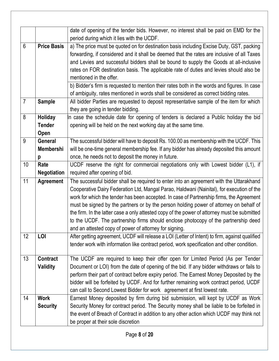|                |                    | date of opening of the tender bids. However, no interest shall be paid on EMD for the          |
|----------------|--------------------|------------------------------------------------------------------------------------------------|
|                |                    | period during which it lies with the UCDF.                                                     |
| 6              | <b>Price Basis</b> | a) The price must be quoted on for destination basis including Excise Duty, GST, packing       |
|                |                    | forwarding, if considered and it shall be deemed that the rates are inclusive of all Taxes     |
|                |                    | and Levies and successful bidders shall be bound to supply the Goods at all-inclusive          |
|                |                    | rates on FOR destination basis. The applicable rate of duties and levies should also be        |
|                |                    | mentioned in the offer.                                                                        |
|                |                    | b) Bidder's firm is requested to mention their rates both in the words and figures. In case    |
|                |                    | of ambiguity, rates mentioned in words shall be considered as correct bidding rates.           |
| $\overline{7}$ | <b>Sample</b>      | All bidder Parties are requested to deposit representative sample of the item for which        |
|                |                    | they are going in tender bidding.                                                              |
| 8              | <b>Holiday</b>     | In case the schedule date for opening of tenders is declared a Public holiday the bid          |
|                | <b>Tender</b>      | opening will be held on the next working day at the same time.                                 |
|                | Open               |                                                                                                |
| 9              | <b>General</b>     | The successful bidder will have to deposit Rs. 100.00 as membership with the UCDF. This        |
|                | <b>Membershi</b>   | will be one-time general membership fee. If any bidder has already deposited this amount       |
|                | p                  | once, he needs not to deposit the money in future.                                             |
| 10             | Rate               | UCDF reserve the right for commercial negotiations only with Lowest bidder (L1), if            |
|                | <b>Negotiation</b> | required after opening of bid.                                                                 |
| 11             | <b>Agreement</b>   | The successful bidder shall be required to enter into an agreement with the Uttarakhand        |
|                |                    | Cooperative Dairy Federation Ltd, Mangal Parao, Haldwani (Nainital), for execution of the      |
|                |                    | work for which the tender has been accepted. In case of Partnership firms, the Agreement       |
|                |                    | must be signed by the partners or by the person holding power of attorney on behalf of         |
|                |                    | the firm. In the latter case a only attested copy of the power of attorney must be submitted   |
|                |                    | to the UCDF. The partnership firms should enclose photocopy of the partnership deed            |
|                |                    | and an attested copy of power of attorney for signing.                                         |
| 12             | LOI                | After getting agreement, UCDF will release a LOI (Letter of Intent) to firm, against qualified |
|                |                    | tender work with information like contract period, work specification and other condition.     |
|                |                    |                                                                                                |
| 13             | <b>Contract</b>    | The UCDF are required to keep their offer open for Limited Period (As per Tender               |
|                | <b>Validity</b>    | Document or LOI) from the date of opening of the bid. If any bidder withdraws or fails to      |
|                |                    | perform their part of contract before expiry period. The Earnest Money Deposited by the        |
|                |                    | bidder will be forfeited by UCDF. And for further remaining work contract period, UCDF         |
|                |                    | can call to Second Lowest Bidder for work agreement at first lowest rate.                      |
| 14             | <b>Work</b>        | Earnest Money deposited by firm during bid submission, will kept by UCDF as Work               |
|                | <b>Security</b>    | Security Money for contract period. The Security money shall be liable to be forfeited in      |
|                |                    | the event of Breach of Contract in addition to any other action which UCDF may think not       |
|                |                    | be proper at their sole discretion                                                             |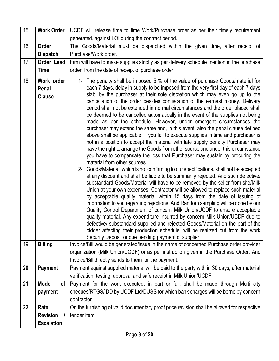| 15 | <b>Work Order</b>              | UCDF will release time to time Work/Purchase order as per their timely requirement                                                                                           |  |  |  |
|----|--------------------------------|------------------------------------------------------------------------------------------------------------------------------------------------------------------------------|--|--|--|
|    |                                | generated, against LOI during the contract period.                                                                                                                           |  |  |  |
| 16 | Order                          | The Goods/Material must be dispatched within the given time, after receipt of                                                                                                |  |  |  |
|    | <b>Dispatch</b>                | Purchase/Work order.                                                                                                                                                         |  |  |  |
| 17 | Order Lead                     | Firm will have to make supplies strictly as per delivery schedule mention in the purchase                                                                                    |  |  |  |
|    | <b>Time</b>                    | order, from the date of receipt of purchase order.                                                                                                                           |  |  |  |
| 18 | Work order                     | 1- The penalty shall be imposed 5 % of the value of purchase Goods/material for                                                                                              |  |  |  |
|    | Penal                          | each 7 days, delay in supply to be imposed from the very first day of each 7 days                                                                                            |  |  |  |
|    | <b>Clause</b>                  | slab, by the purchaser at their sole discretion which may even go up to the<br>cancellation of the order besides confiscation of the earnest money. Delivery                 |  |  |  |
|    |                                | period shall not be extended in normal circumstances and the order placed shall                                                                                              |  |  |  |
|    |                                | be deemed to be cancelled automatically in the event of the supplies not being                                                                                               |  |  |  |
|    |                                | made as per the schedule. However, under emergent circumstances the                                                                                                          |  |  |  |
|    |                                | purchaser may extend the same and, in this event, also the penal clause defined<br>above shall be applicable. If you fail to execute supplies in time and purchaser is       |  |  |  |
|    |                                | not in a position to accept the material with late supply penalty Purchaser may                                                                                              |  |  |  |
|    |                                | have the right to arrange the Goods from other source and under this circumstance                                                                                            |  |  |  |
|    |                                | you have to compensate the loss that Purchaser may sustain by procuring the                                                                                                  |  |  |  |
|    |                                | material from other sources.                                                                                                                                                 |  |  |  |
|    |                                | 2- Goods/Material, which is not confirming to our specifications, shall not be accepted<br>at any discount and shall be liable to be summarily rejected. And such defective/ |  |  |  |
|    |                                | substandard Goods/Material will have to be removed by the seller from site/Milk                                                                                              |  |  |  |
|    |                                | Union at your own expenses. Contractor will be allowed to replace such material                                                                                              |  |  |  |
|    |                                | by acceptable quality material within 15 days from the date of issuing of                                                                                                    |  |  |  |
|    |                                | information to you regarding rejections. And Random sampling will be done by our                                                                                             |  |  |  |
|    |                                | Quality Control Department of concern Milk Union/UCDF to ensure acceptable<br>quality material. Any expenditure incurred by concern Milk Union/UCDF due to                   |  |  |  |
|    |                                | defective/ substandard supplied and rejected Goods/Material on the part of the                                                                                               |  |  |  |
|    |                                | bidder affecting their production schedule, will be realized out from the work                                                                                               |  |  |  |
|    |                                | Security Deposit or due pending payment of supplier.                                                                                                                         |  |  |  |
| 19 | <b>Billing</b>                 | Invoice/Bill would be generated/issue in the name of concerned Purchase order provider                                                                                       |  |  |  |
|    |                                | organization (Milk Union/UCDF) or as per instruction given in the Purchase Order. And<br>Invoice/Bill directly sends to them for the payment.                                |  |  |  |
| 20 | <b>Payment</b>                 | Payment against supplied material will be paid to the party with in 30 days, after material                                                                                  |  |  |  |
|    |                                | verification, testing, approval and safe receipt in Milk Union/UCDF.                                                                                                         |  |  |  |
| 21 | <b>Mode</b><br>of <sub>l</sub> | Payment for the work executed, in part or full, shall be made through Multi city                                                                                             |  |  |  |
|    | payment                        | cheques/RTGS/ DD by UCDF Ltd/DUSS for which bank charges will be borne by concern                                                                                            |  |  |  |
|    |                                | contractor.                                                                                                                                                                  |  |  |  |
| 22 | Rate                           | On the furnishing of valid documentary proof price revision shall be allowed for respective                                                                                  |  |  |  |
|    | <b>Revision</b>                | tender item.                                                                                                                                                                 |  |  |  |
|    | <b>Escalation</b>              |                                                                                                                                                                              |  |  |  |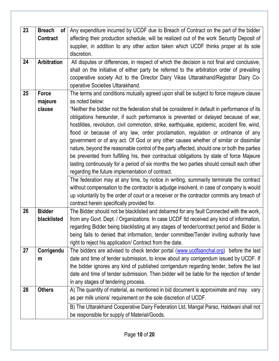| 23 | <b>Breach</b><br>of l<br><b>Contract</b> | Any expenditure incurred by UCDF due to Breach of Contract on the part of the bidder<br>affecting their production schedule, will be realized out of the work Security Deposit of<br>supplier, in addition to any other action taken which UCDF thinks proper at its sole<br>discretion.                                                                                                                                                                                                                                                                                                                                                                                                                                                                                                                                                                                                                                                                                                                                                                                                                                                                                                                    |  |  |  |
|----|------------------------------------------|-------------------------------------------------------------------------------------------------------------------------------------------------------------------------------------------------------------------------------------------------------------------------------------------------------------------------------------------------------------------------------------------------------------------------------------------------------------------------------------------------------------------------------------------------------------------------------------------------------------------------------------------------------------------------------------------------------------------------------------------------------------------------------------------------------------------------------------------------------------------------------------------------------------------------------------------------------------------------------------------------------------------------------------------------------------------------------------------------------------------------------------------------------------------------------------------------------------|--|--|--|
| 24 | <b>Arbitration</b>                       | All disputes or differences, in respect of which the decision is not final and conclusive,<br>shall on the initiative of either party be referred to the arbitration order of prevailing<br>cooperative society Act to the Director Dairy Vikas Uttarakhand/Registrar Dairy Co-<br>operative Societies Uttarakhand.                                                                                                                                                                                                                                                                                                                                                                                                                                                                                                                                                                                                                                                                                                                                                                                                                                                                                         |  |  |  |
| 25 | Force<br>majeure<br>clause               | The terms and conditions mutually agreed upon shall be subject to force majeure clause<br>as noted below:<br>"Neither the bidder not the federation shall be considered in default in performance of its<br>obligations hereunder, if such performance is prevented or delayed because of war,<br>hostilities, revolution, civil commotion, strike, earthquake, epidemic, accident fire, wind,<br>flood or because of any law, order proclamation, regulation or ordinance of any<br>government or of any act. Of God or any other causes whether of similar or dissimilar<br>nature, beyond the reasonable control of the party affected, should one or both the parties<br>be prevented from fulfilling his, their contractual obligations by state of force Majeure<br>lasting continuously for a period of six months the two parties should consult each other<br>regarding the future implementation of contract.<br>The federation may at any time, by notice in writing, summarily terminate the contract<br>without compensation to the contractor is adjudge insolvent, in case of company is would<br>up voluntarily by the order of court or a receiver or the contractor commits any breach of |  |  |  |
| 26 | <b>Bidder</b><br>blacklisted             | contract herein specifically provided for.<br>The Bidder should not be blacklisted and debarred for any fault Connected with the work,<br>from any Govt. Dept. / Organizations. In case UCDF Itd received any kind of information,<br>regarding Bidder being blacklisting at any stages of tender/contract period and Bidder is<br>being fails to denied that information, tender committee/Tender inviting authority have<br>right to reject his application/ Contract from the date.                                                                                                                                                                                                                                                                                                                                                                                                                                                                                                                                                                                                                                                                                                                      |  |  |  |
| 27 | Corrigendu<br>m                          | The bidders are advised to check tender portal (www.ucdfaanchal.org)<br>before the last<br>date and time of tender submission, to know about any corrigendum issued by UCDF. If<br>the bidder ignores any kind of published corrigendum regarding tender, before the last<br>date and time of tender submission. Then bidder will be liable for the rejection of tender<br>in any stages of tendering process.                                                                                                                                                                                                                                                                                                                                                                                                                                                                                                                                                                                                                                                                                                                                                                                              |  |  |  |
| 28 | <b>Others</b>                            | A) The quantity of material, as mentioned in bid document is approximate and may vary<br>as per milk unions' requirement on the sole discretion of UCDF.<br>B) The Uttarakhand Cooperative Dairy Federation Ltd, Mangal Parao, Haldwani shall not<br>be responsible for supply of Material/Goods.                                                                                                                                                                                                                                                                                                                                                                                                                                                                                                                                                                                                                                                                                                                                                                                                                                                                                                           |  |  |  |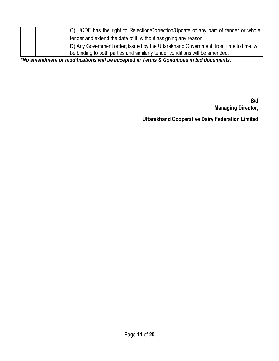|  | C) UCDF has the right to Rejection/Correction/Update of any part of tender or whole    |
|--|----------------------------------------------------------------------------------------|
|  |                                                                                        |
|  | tender and extend the date of it, without assigning any reason.                        |
|  | D) Any Government order, issued by the Uttarakhand Government, from time to time, will |
|  | be binding to both parties and similarly tender conditions will be amended.            |

*\*No amendment or modifications will be accepted in Terms & Conditions in bid documents.*

**S/d Managing Director,**

**Uttarakhand Cooperative Dairy Federation Limited**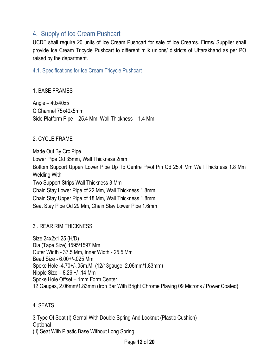## <span id="page-11-0"></span>4. Supply of Ice Cream Pushcart

UCDF shall require 20 units of Ice Cream Pushcart for sale of Ice Creams. Firms/ Supplier shall provide Ice Cream Tricycle Pushcart to different milk unions/ districts of Uttarakhand as per PO raised by the department.

#### <span id="page-11-1"></span>4.1. Specifications for Ice Cream Tricycle Pushcart

#### 1. BASE FRAMES

Angle  $-40x40x5$ C Channel 75x40x5mm Side Platform Pipe – 25.4 Mm, Wall Thickness – 1.4 Mm,

### 2. CYCLE FRAME

Made Out By Crc Pipe. Lower Pipe Od 35mm, Wall Thickness 2mm Bottom Support Upper/ Lower Pipe Up To Centre Pivot Pin Od 25.4 Mm Wall Thickness 1.8 Mm Welding With Two Support Strips Wall Thickness 3 Mm Chain Stay Lower Pipe of 22 Mm, Wall Thickness 1.8mm Chain Stay Upper Pipe of 18 Mm, Wall Thickness 1.8mm Seat Stay Pipe Od 29 Mm, Chain Stay Lower Pipe 1.6mm

### 3 . REAR RIM THICKNESS

Size 24x2x1.25 (H/D) Dia (Tape Size) 1595/1597 Mm Outer Width - 37.5 Mm, Inner Width - 25.5 Mm Bead Size - 6.00+/-.025 Mm Spoke Hole -4.70+/-.05m.M. (12/13gauge, 2.06mm/1.83mm) Nipple Size – 8.26 +/-.14 Mm Spoke Hole Offset – 1mm Form Center 12 Gauges, 2.06mm/1.83mm (Iron Bar With Bright Chrome Playing 09 Microns / Power Coated)

### 4. SEATS

3 Type Of Seat (I) Gernal With Double Spring And Locknut (Plastic Cushion) **Optional** (Ii) Seat With Plastic Base Without Long Spring

Page **12** of **20**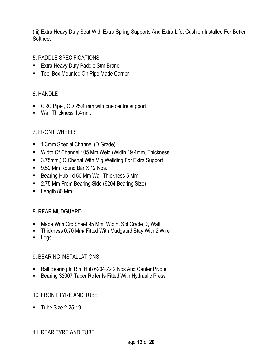(Iii) Extra Heavy Duty Seat With Extra Spring Supports And Extra Life. Cushion Installed For Better **Softness** 

- 5. PADDLE SPECIFICATIONS
- Extra Heavy Duty Paddle Stm Brand
- Tool Box Mounted On Pipe Made Carrier

### 6. HANDLE

- CRC Pipe, OD 25.4 mm with one centre support
- Wall Thickness 1.4mm.

## 7. FRONT WHEELS

- 1.3mm Special Channel (D Grade)
- Width Of Channel 105 Mm Weld (Width 19.4mm, Thickness
- 3.75mm,) C Chenal With Mig Wellding For Extra Support
- 9.52 Mm Round Bar X 12 Nos.
- Bearing Hub 1d 50 Mm Wall Thickness 5 Mm
- 2.75 Mm From Bearing Side (6204 Bearing Size)
- Length 80 Mm

### 8. REAR MUDGUARD

- Made With Crc Sheet 95 Mm. Width, Spl Grade D, Wall
- Thickness 0.70 Mm/ Fitted With Mudgaurd Stay With 2 Wire
- Legs.

## 9. BEARING INSTALLATIONS

- Ball Bearing In Rim Hub 6204 Zz 2 Nos And Center Pivote
- Bearing 32007 Taper Roller Is Fitted With Hydraulic Press

## 10. FRONT TYRE AND TUBE

**Tube Size 2-25-19** 

### 11. REAR TYRE AND TUBE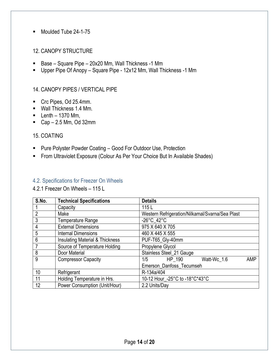■ Moulded Tube 24-1-75

#### 12. CANOPY STRUCTURE

- Base Square Pipe 20x20 Mm, Wall Thickness -1 Mm
- Upper Pipe Of Anopy Square Pipe 12x12 Mm, Wall Thickness -1 Mm

#### 14. CANOPY PIPES / VERTICAL PIPE

- Crc Pipes, Od 25.4mm.
- Wall Thickness 1.4 Mm.
- $\blacksquare$  Lenth 1370 Mm,
- Cap  $-2.5$  Mm, Od 32mm

#### 15. COATING

- Pure Polyster Powder Coating Good For Outdoor Use, Protection
- From Ultraviolet Exposure (Colour As Per Your Choice But In Available Shades)

#### <span id="page-13-0"></span>4.2. Specifications for Freezer On Wheels

4.2.1 Freezer On Wheels – 115 L

| S.No.           | <b>Technical Specifications</b>            | <b>Details</b>                                  |
|-----------------|--------------------------------------------|-------------------------------------------------|
|                 | Capacity                                   | 115L                                            |
| $\overline{2}$  | Make                                       | Western Refrigeration/Nilkamal/Svarna/Sea Plast |
| 3               | Temperature Range                          | -26 $^{\circ}$ C 42 $^{\circ}$ C                |
| 4               | <b>External Dimensions</b>                 | 975 X 640 X 705                                 |
| 5               | <b>Internal Dimensions</b>                 | 460 X 445 X 555                                 |
| $6\phantom{1}6$ | <b>Insulating Material &amp; Thickness</b> | PUF-T65_Gly-40mm                                |
| 7               | Source of Temperature Holding              | Propylene Glycol                                |
| 8               | Door Material                              | Stainless Steel_21 Gauge                        |
| $\overline{9}$  | <b>Compressor Capacity</b>                 | HP_190<br>1/5<br><b>AMP</b><br>Watt-Wc 1.6      |
|                 |                                            | Emerson_Danfoss_Tecumseh                        |
| 10              | Refrigerant                                | R-134a/404                                      |
| 11              | Holding Temperature in Hrs.                | 10-12 Hour_-25°C to -18°C*43°C                  |
| 12              | <b>Power Consumption (Unit/Hour)</b>       | 2.2 Units/Day                                   |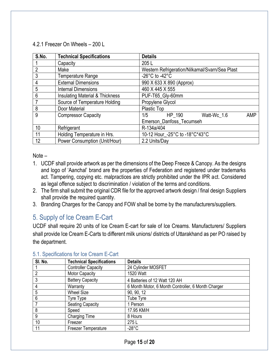#### 4.2.1 Freezer On Wheels – 200 L

| S.No.          | <b>Technical Specifications</b>            | <b>Details</b>                                 |
|----------------|--------------------------------------------|------------------------------------------------|
|                | Capacity                                   | 205L                                           |
| $\overline{2}$ | Make                                       | Western Refrigeration/Nilkamal/Svarn/Sea Plast |
| 3              | Temperature Range                          | $-26^{\circ}$ C to $-42^{\circ}$ C             |
| 4              | <b>External Dimensions</b>                 | 990 X 633 X 890 (Approx)                       |
| 5              | <b>Internal Dimensions</b>                 | 460 X 445 X 555                                |
| 6              | <b>Insulating Material &amp; Thickness</b> | PUF-T65_Gly-60mm                               |
| $\overline{7}$ | Source of Temperature Holding              | Propylene Glycol                               |
| 8              | Door Material                              | Plastic Top                                    |
| 9              | <b>Compressor Capacity</b>                 | HP 190<br>1/5<br>Watt-Wc_1.6<br><b>AMP</b>     |
|                |                                            | Emerson_Danfoss_Tecumseh                       |
| 10             | Refrigerant                                | R-134a/404                                     |
| 11             | Holding Temperature in Hrs.                | 10-12 Hour_-25°C to -18°C*43°C                 |
| 12             | Power Consumption (Unit/Hour)              | 2.2 Units/Day                                  |

Note –

- 1. UCDF shall provide artwork as per the dimensions of the Deep Freeze & Canopy. As the designs and logo of 'Aanchal' brand are the properties of Federation and registered under trademarks act. Tampering, copying etc. malpractices are strictly prohibited under the IPR act. Considered as legal offence subject to discrimination / violation of the terms and conditions.
- 2. The firm shall submit the original CDR file for the approved artwork design / final design Suppliers shall provide the required quantity.
- 3. Branding Charges for the Canopy and FOW shall be borne by the manufacturers/suppliers.

# <span id="page-14-0"></span>5. Supply of Ice Cream E-Cart

UCDF shall require 20 units of Ice Cream E-cart for sale of Ice Creams. Manufacturers/ Suppliers shall provide Ice Cream E-Carts to different milk unions/ districts of Uttarakhand as per PO raised by the department.

| SI. No. | <b>Technical Specifications</b> | <b>Details</b>                                     |  |
|---------|---------------------------------|----------------------------------------------------|--|
|         | <b>Controller Capacity</b>      | 24 Cylinder MOSFET                                 |  |
| 2       | <b>Motor Capacity</b>           | 1520 Watt                                          |  |
| 3       | <b>Battery Capacity</b>         | 4 Batteries of 12 Watt 120 AH                      |  |
| 4       | Warranty                        | 6 Month Motor, 6 Month Controller, 6 Month Charger |  |
| 5       | <b>Wheel Size</b>               | 90, 90, 12                                         |  |
| 6       | Tyre Type                       | Tube Tyre                                          |  |
|         | <b>Seating Capacity</b>         | 1 Person                                           |  |
| 8       | Speed                           | 17.95 KM/H                                         |  |
| 9       | <b>Charging Time</b>            | 8 Hours                                            |  |
| 10      | Freezer                         | 275L                                               |  |
| 11      | <b>Freezer Temperature</b>      | $-28^{\circ}$ C                                    |  |

## <span id="page-14-1"></span>5.1. Specifications for Ice Cream E-Cart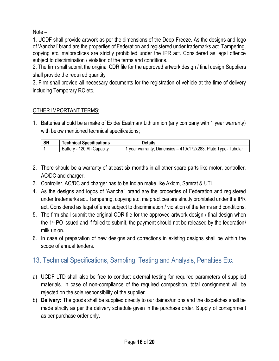Note –

1. UCDF shall provide artwork as per the dimensions of the Deep Freeze. As the designs and logo of 'Aanchal' brand are the properties of Federation and registered under trademarks act. Tampering, copying etc. malpractices are strictly prohibited under the IPR act. Considered as legal offence subject to discrimination / violation of the terms and conditions.

2. The firm shall submit the original CDR file for the approved artwork design / final design Suppliers shall provide the required quantity

3. Firm shall provide all necessary documents for the registration of vehicle at the time of delivery including Temporary RC etc.

### OTHER IMPORTANT TERMS:

1. Batteries should be a make of Exide/ Eastman/ Lithium ion (any company with 1 year warranty) with below mentioned technical specifications;

| <b>SN</b> | <b>Technical Specifications</b>    | Details                                                                               |
|-----------|------------------------------------|---------------------------------------------------------------------------------------|
|           | ⊦Ah Capacitv<br>. 120<br>Battery - | Dimensios $-410x172x283$ ,<br>, Plate Type- <sup>-</sup><br>Tubular<br>year warranty, |

- 2. There should be a warranty of atleast six months in all other spare parts like motor, controller, AC/DC and charger.
- 3. Controller, AC/DC and charger has to be Indian make like Axiom, Samrat & UTL.
- 4. As the designs and logos of 'Aanchal' brand are the properties of Federation and registered under trademarks act. Tampering, copying etc. malpractices are strictly prohibited under the IPR act. Considered as legal offence subject to discrimination / violation of the terms and conditions.
- 5. The firm shall submit the original CDR file for the approved artwork design / final design when the 1<sup>st</sup> PO issued and if failed to submit, the payment should not be released by the federation/ milk union.
- 6. In case of preparation of new designs and corrections in existing designs shall be within the scope of annual tenders.

# <span id="page-15-0"></span>13. Technical Specifications, Sampling, Testing and Analysis, Penalties Etc.

- a) UCDF LTD shall also be free to conduct external testing for required parameters of supplied materials. In case of non-compliance of the required composition, total consignment will be rejected on the sole responsibility of the supplier.
- b) **Delivery:** The goods shall be supplied directly to our dairies/unions and the dispatches shall be made strictly as per the delivery schedule given in the purchase order. Supply of consignment as per purchase order only.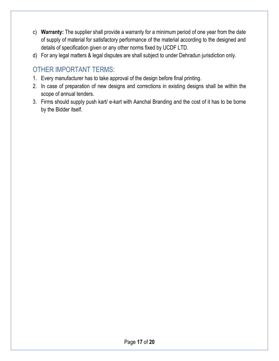- c) **Warranty:** The supplier shall provide a warranty for a minimum period of one year from the date of supply of material for satisfactory performance of the material according to the designed and details of specification given or any other norms fixed by UCDF LTD.
- d) For any legal matters & legal disputes are shall subject to under Dehradun jurisdiction only.

# <span id="page-16-0"></span>OTHER IMPORTANT TERMS:

- 1. Every manufacturer has to take approval of the design before final printing.
- 2. In case of preparation of new designs and corrections in existing designs shall be within the scope of annual tenders.
- 3. Firms should supply push kart/ e-kart with Aanchal Branding and the cost of it has to be borne by the Bidder itself.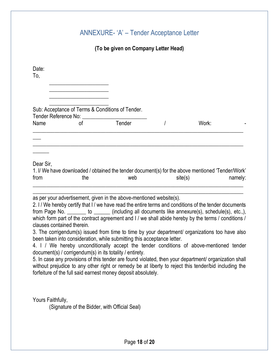## ANNEXURE- 'A' – Tender Acceptance Letter

### **(To be given on Company Letter Head)**

<span id="page-17-0"></span>

| Date:<br>To, |                                                                                                  |        |         |         |
|--------------|--------------------------------------------------------------------------------------------------|--------|---------|---------|
|              |                                                                                                  |        |         |         |
|              | Sub: Acceptance of Terms & Conditions of Tender.<br>Tender Reference No:                         |        |         |         |
| Name         | οf                                                                                               | Tender | Work:   |         |
|              |                                                                                                  |        |         |         |
|              |                                                                                                  |        |         |         |
| Dear Sir,    |                                                                                                  |        |         |         |
|              | 1. I/ We have downloaded / obtained the tender document(s) for the above mentioned 'Tender/Work' |        |         |         |
| from         | the                                                                                              | web    | site(s) | namely: |
|              | المكملا والمتحامين الممسو بالمسمس ومنتموا والمطلومات والمتحدث والمسمو والسميناوي سيتميز س        |        |         |         |

as per your advertisement, given in the above-mentioned website(s).

2. I / We hereby certify that I / we have read the entire terms and conditions of the tender documents from Page No. \_\_\_\_\_\_\_\_ to \_\_\_\_\_\_ (including all documents like annexure(s), schedule(s), etc.,), which form part of the contract agreement and I / we shall abide hereby by the terms / conditions / clauses contained therein.

3. The corrigendum(s) issued from time to time by your department/ organizations too have also been taken into consideration, while submitting this acceptance letter.

4. I / We hereby unconditionally accept the tender conditions of above-mentioned tender document(s) / corrigendum(s) in its totality / entirety.

5. In case any provisions of this tender are found violated, then your department/ organization shall without prejudice to any other right or remedy be at liberty to reject this tender/bid including the forfeiture of the full said earnest money deposit absolutely.

Yours Faithfully,

(Signature of the Bidder, with Official Seal)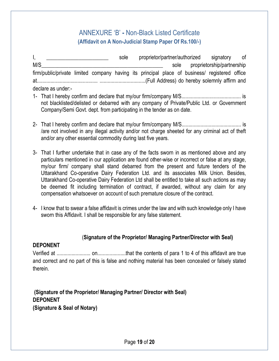## ANNEXURE 'B' **-** Non-Black Listed Certificate **(Affidavit on A Non-Judicial Stamp Paper Of Rs.100/-)**

<span id="page-18-0"></span>I, **I** and the sole proprietor/partner/authorized signatory of M/S\_\_\_\_\_\_\_\_\_\_\_\_\_\_\_\_\_\_\_\_\_\_\_\_\_\_\_\_\_\_\_\_\_\_\_\_\_\_\_\_\_\_\_\_\_ sole proprietorship/partnership firm/public/private limited company having its principal place of business/ registered office at............................................. ..................................(Full Address) do hereby solemnly affirm and declare as under:-

- 1- That I hereby confirm and declare that my/our firm/company M/S............................................ is not blacklisted/delisted or debarred with any company of Private/Public Ltd. or Government Company/Semi Govt. dept. from participating in the tender as on date.
- 2- That I hereby confirm and declare that my/our firm/company M/S............................................ is /are not involved in any illegal activity and/or not charge sheeted for any criminal act of theft and/or any other essential commodity during last five years.
- 3- That I further undertake that in case any of the facts sworn in as mentioned above and any particulars mentioned in our application are found other-wise or incorrect or false at any stage, my/our firm/ company shall stand debarred from the present and future tenders of the Uttarakhand Co-operative Dairy Federation Ltd. and its associates Milk Union. Besides, Uttarakhand Co-operative Dairy Federation Ltd shall be entitled to take all such actions as may be deemed fit including termination of contract, if awarded, without any claim for any compensation whatsoever on account of such premature closure of the contract.
- 4- I know that to swear a false affidavit is crimes under the law and with such knowledge only I have sworn this Affidavit. I shall be responsible for any false statement.

#### (**Signature of the Proprietor/ Managing Partner/Director with Seal)**

#### **DEPONENT**

Verified at ......................... on.....................that the contents of para 1 to 4 of this affidavit are true and correct and no part of this is false and nothing material has been concealed or falsely stated therein.

**(Signature of the Proprietor/ Managing Partner/ Director with Seal) DEPONENT (Signature & Seal of Notary)**